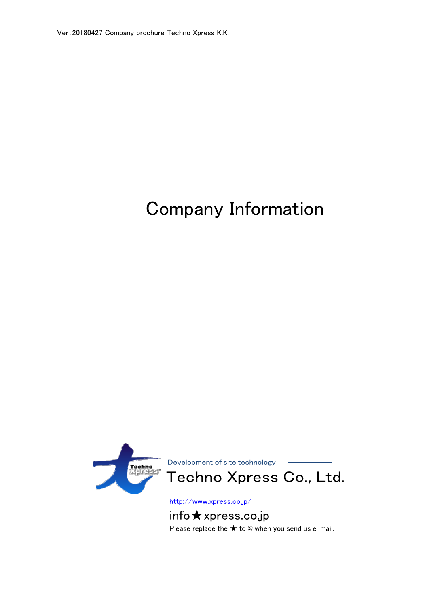Ver:20180427 Company brochure Techno Xpress K.K.

# Company Information



info★xpress.co.jp Please replace the  $\bigstar$  to @ when you send us e-mail.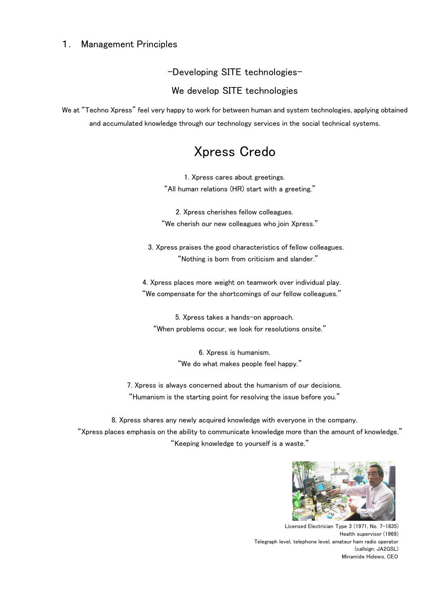#### 1. Management Principles

-Developing SITE technologies-

We develop SITE technologies

We at "Techno Xpress" feel very happy to work for between human and system technologies, applying obtained and accumulated knowledge through our technology services in the social technical systems.

## Xpress Credo

1. Xpress cares about greetings. "All human relations (HR) start with a greeting."

2. Xpress cherishes fellow colleagues. "We cherish our new colleagues who join Xpress."

 3. Xpress praises the good characteristics of fellow colleagues. "Nothing is born from criticism and slander."

4. Xpress places more weight on teamwork over individual play. "We compensate for the shortcomings of our fellow colleagues."

5. Xpress takes a hands-on approach. "When problems occur, we look for resolutions onsite."

> 6. Xpress is humanism. "We do what makes people feel happy."

7. Xpress is always concerned about the humanism of our decisions. "Humanism is the starting point for resolving the issue before you."

8. Xpress shares any newly acquired knowledge with everyone in the company.

"Xpress places emphasis on the ability to communicate knowledge more than the amount of knowledge." "Keeping knowledge to yourself is a waste."



Licensed Electrician Type 3 (1971, No. 7-1835) Health supervisor (1969) Telegraph level, telephone level, amateur ham radio operator (callsign: JA2GSL) Minamide Hidewo, CEO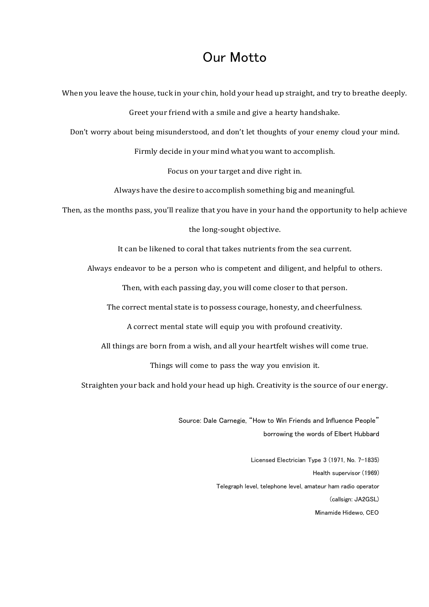## Our Motto

When you leave the house, tuck in your chin, hold your head up straight, and try to breathe deeply. Greet your friend with a smile and give a hearty handshake.

Don't worry about being misunderstood, and don't let thoughts of your enemy cloud your mind.

Firmly decide in your mind what you want to accomplish.

Focus on your target and dive right in.

Always have the desire to accomplish something big and meaningful.

Then, as the months pass, you'll realize that you have in your hand the opportunity to help achieve

the long-sought objective.

It can be likened to coral that takes nutrients from the sea current.

Always endeavor to be a person who is competent and diligent, and helpful to others.

Then, with each passing day, you will come closer to that person.

The correct mental state is to possess courage, honesty, and cheerfulness.

A correct mental state will equip you with profound creativity.

All things are born from a wish, and all your heartfelt wishes will come true.

Things will come to pass the way you envision it.

Straighten your back and hold your head up high. Creativity is the source of our energy.

Source: Dale Carnegie, "How to Win Friends and Influence People" borrowing the words of Elbert Hubbard

> Licensed Electrician Type 3 (1971, No. 7-1835) Health supervisor (1969) Telegraph level, telephone level, amateur ham radio operator (callsign: JA2GSL) Minamide Hidewo, CEO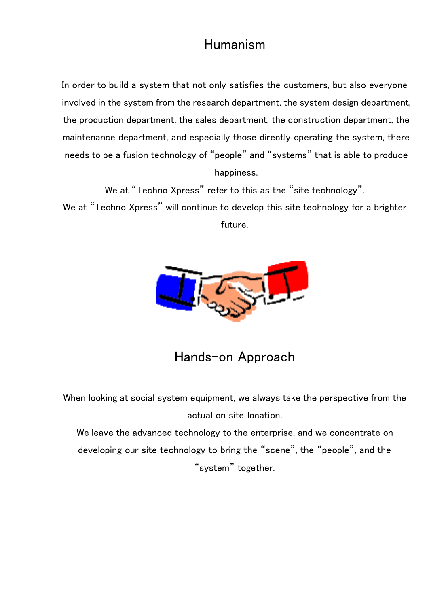# Humanism

In order to build a system that not only satisfies the customers, but also everyone involved in the system from the research department, the system design department, the production department, the sales department, the construction department, the maintenance department, and especially those directly operating the system, there needs to be a fusion technology of "people" and "systems" that is able to produce happiness.

We at "Techno Xpress" refer to this as the "site technology".

We at "Techno Xpress" will continue to develop this site technology for a brighter future.



Hands-on Approach

When looking at social system equipment, we always take the perspective from the actual on site location.

We leave the advanced technology to the enterprise, and we concentrate on developing our site technology to bring the "scene", the "people", and the "system" together.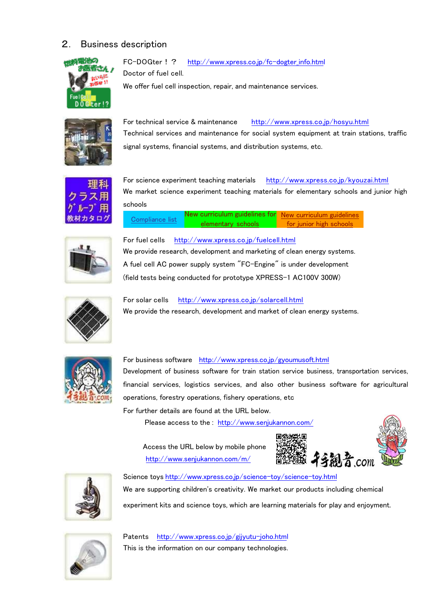#### 2. Business description



FC-DOGter! ? [http://www.xpress.co.jp/fc-dogter\\_info.html](http://www.xpress.co.jp/fc-dogter_info.html) Doctor of fuel cell. We offer fuel cell inspection, repair, and maintenance services.



For technical service & maintenance <http://www.xpress.co.jp/hosyu.html> Technical services and maintenance for social system equipment at train stations, traffic signal systems, financial systems, and distribution systems, etc.



For science experiment teaching materials <http://www.xpress.co.jp/kyouzai.html> We market science experiment teaching materials for elementary schools and junior high schools

elementary schools New curriculum guidelines for junior high schools New curriculum guidelines for Compliance list



For fuel cells <http://www.xpress.co.jp/fuelcell.html> We provide research, development and marketing of clean energy systems. A fuel cell AC power supply system "FC-Engine" is under development (field tests being conducted for prototype XPRESS-1 AC100V 300W)



For solar cells <http://www.xpress.co.jp/solarcell.html> We provide the research, development and market of clean energy systems.



For business software <http://www.xpress.co.jp/gyoumusoft.html> Development of business software for train station service business, transportation services, financial services, logistics services, and also other business software for agricultural operations, forestry operations, fishery operations, etc

For further details are found at the URL below.

Please access to the : <http://www.senjukannon.com/>

Access the URL below by mobile phone <http://www.senjukannon.com/m/>





Science toys <http://www.xpress.co.jp/science-toy/science-toy.html> We are supporting children's creativity. We market our products including chemical experiment kits and science toys, which are learning materials for play and enjoyment.



Patents <http://www.xpress.co.jp/gijyutu-joho.html> This is the information on our company technologies.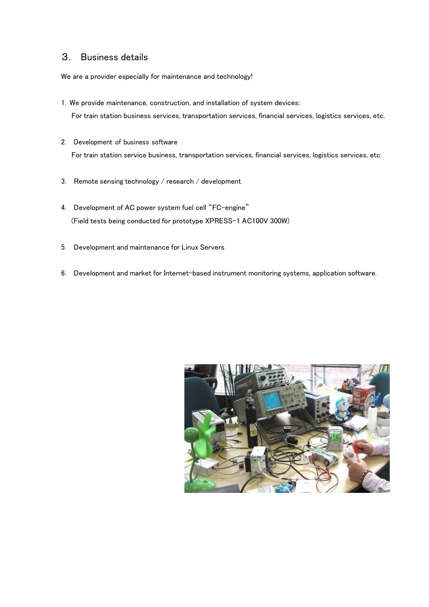#### 3. Business details

We are a provider especially for maintenance and technology!

- 1. We provide maintenance, construction, and installation of system devices: For train station business services, transportation services, financial services, logistics services, etc.
- 2. Development of business software For train station service business, transportation services, financial services, logistics services, etc.
- 3. Remote sensing technology / research / development
- 4. Development of AC power system fuel cell "FC-engine" (Field tests being conducted for prototype XPRESS-1 AC100V 300W)
- 5. Development and maintenance for Linux Servers
- 6. Development and market for Internet-based instrument monitoring systems, application software.

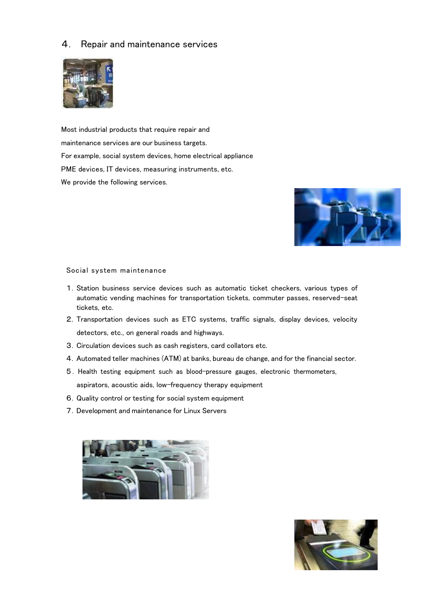#### 4. Repair and maintenance services



Most industrial products that require repair and maintenance services are our business targets. For example, social system devices, home electrical appliance PME devices, IT devices, measuring instruments, etc. We provide the following services.



#### Social system maintenance

- 1.Station business service devices such as automatic ticket checkers, various types of automatic vending machines for transportation tickets, commuter passes, reserved-seat tickets, etc.
- 2.Transportation devices such as ETC systems, traffic signals, display devices, velocity detectors, etc., on general roads and highways.
- 3.Circulation devices such as cash registers, card collators etc.
- 4.Automated teller machines (ATM) at banks, bureau de change, and for the financial sector.
- 5.Health testing equipment such as blood-pressure gauges, electronic thermometers, aspirators, acoustic aids, low-frequency therapy equipment
- 6.Quality control or testing for social system equipment
- 7.Development and maintenance for Linux Servers



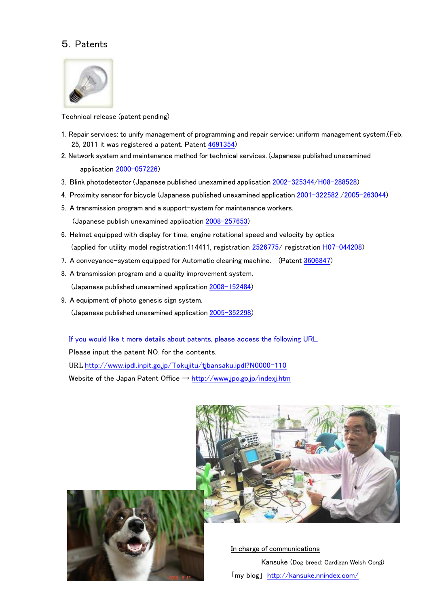#### 5.Patents



Technical release (patent pending)

- 1. Repair services: to unify management of programming and repair service: uniform management system.(Feb. 25, 2011 it was registered a patent. Patent 4691354)
- 2. Network system and maintenance method for technical services. (Japanese published unexamined application 2000-057226)
- 3. Blink photodetector (Japanese published unexamined application 2002-325344/H08-288528)
- 4. Proximity sensor for bicycle (Japanese published unexamined application  $2001-322582$  /2005-263044)
- 5. A transmission program and a support-system for maintenance workers. (Japanese publish unexamined application 2008-257653)
- 6. Helmet equipped with display for time, engine rotational speed and velocity by optics (applied for utility model registration:114411, registration 2526775/ registration H07-044208)
- 7. A conveyance-system equipped for Automatic cleaning machine. (Patent 3606847)
- 8. A transmission program and a quality improvement system. (Japanese published unexamined application 2008-152484)
- 9. A equipment of photo genesis sign system. (Japanese published unexamined application 2005-352298)

If you would like t more details about patents, please access the following URL. Please input the patent NO. for the contents. URL <http://www.ipdl.inpit.go.jp/Tokujitu/tjbansaku.ipdl?N0000=110> Website of the Japan Patent Office → <http://www.jpo.go.jp/indexj.htm>





In charge of communications

Kansuke (Dog breed: Cardigan Welsh Corgi) 「my blog」 <http://kansuke.nnindex.com/>